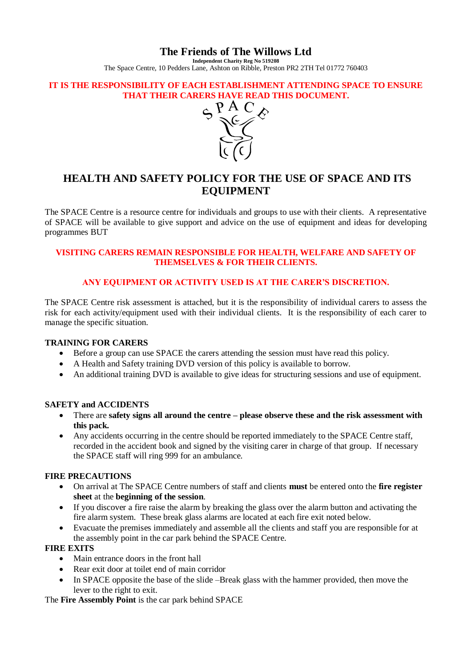# **The Friends of The Willows Ltd**

**Independent Charity Reg No 519208** The Space Centre, 10 Pedders Lane, Ashton on Ribble, Preston PR2 2TH Tel 01772 760403

#### **IT IS THE RESPONSIBILITY OF EACH ESTABLISHMENT ATTENDING SPACE TO ENSURE THAT THEIR CARERS HAVE READ THIS DOCUMENT.**



# **HEALTH AND SAFETY POLICY FOR THE USE OF SPACE AND ITS EQUIPMENT**

The SPACE Centre is a resource centre for individuals and groups to use with their clients. A representative of SPACE will be available to give support and advice on the use of equipment and ideas for developing programmes BUT

# **VISITING CARERS REMAIN RESPONSIBLE FOR HEALTH, WELFARE AND SAFETY OF THEMSELVES & FOR THEIR CLIENTS.**

# **ANY EQUIPMENT OR ACTIVITY USED IS AT THE CARER'S DISCRETION.**

The SPACE Centre risk assessment is attached, but it is the responsibility of individual carers to assess the risk for each activity/equipment used with their individual clients. It is the responsibility of each carer to manage the specific situation.

#### **TRAINING FOR CARERS**

- Before a group can use SPACE the carers attending the session must have read this policy.
- A Health and Safety training DVD version of this policy is available to borrow.
- An additional training DVD is available to give ideas for structuring sessions and use of equipment.

#### **SAFETY and ACCIDENTS**

- There are **safety signs all around the centre – please observe these and the risk assessment with this pack.**
- Any accidents occurring in the centre should be reported immediately to the SPACE Centre staff, recorded in the accident book and signed by the visiting carer in charge of that group. If necessary the SPACE staff will ring 999 for an ambulance.

#### **FIRE PRECAUTIONS**

- On arrival at The SPACE Centre numbers of staff and clients **must** be entered onto the **fire register sheet** at the **beginning of the session**.
- If you discover a fire raise the alarm by breaking the glass over the alarm button and activating the fire alarm system. These break glass alarms are located at each fire exit noted below.
- Evacuate the premises immediately and assemble all the clients and staff you are responsible for at the assembly point in the car park behind the SPACE Centre.

#### **FIRE EXITS**

- Main entrance doors in the front hall
- Rear exit door at toilet end of main corridor
- In SPACE opposite the base of the slide –Break glass with the hammer provided, then move the lever to the right to exit.

The **Fire Assembly Point** is the car park behind SPACE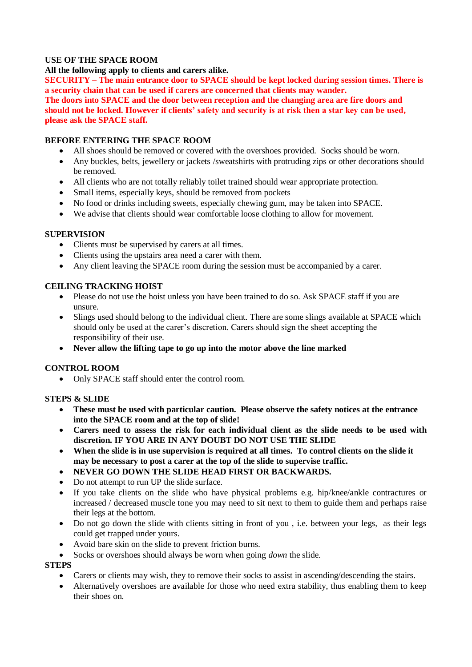# **USE OF THE SPACE ROOM**

**All the following apply to clients and carers alike.** 

**SECURITY – The main entrance door to SPACE should be kept locked during session times. There is a security chain that can be used if carers are concerned that clients may wander.**

**The doors into SPACE and the door between reception and the changing area are fire doors and should not be locked. However if clients' safety and security is at risk then a star key can be used, please ask the SPACE staff.**

#### **BEFORE ENTERING THE SPACE ROOM**

- All shoes should be removed or covered with the overshoes provided. Socks should be worn.
- Any buckles, belts, jewellery or jackets /sweatshirts with protruding zips or other decorations should be removed.
- All clients who are not totally reliably toilet trained should wear appropriate protection.
- Small items, especially keys, should be removed from pockets
- No food or drinks including sweets, especially chewing gum, may be taken into SPACE.
- We advise that clients should wear comfortable loose clothing to allow for movement.

#### **SUPERVISION**

- Clients must be supervised by carers at all times.
- Clients using the upstairs area need a carer with them.
- Any client leaving the SPACE room during the session must be accompanied by a carer.

# **CEILING TRACKING HOIST**

- Please do not use the hoist unless you have been trained to do so. Ask SPACE staff if you are unsure.
- Slings used should belong to the individual client. There are some slings available at SPACE which should only be used at the carer's discretion. Carers should sign the sheet accepting the responsibility of their use.
- **Never allow the lifting tape to go up into the motor above the line marked**

#### **CONTROL ROOM**

• Only SPACE staff should enter the control room.

#### **STEPS & SLIDE**

- **These must be used with particular caution. Please observe the safety notices at the entrance into the SPACE room and at the top of slide!**
- **Carers need to assess the risk for each individual client as the slide needs to be used with discretion. IF YOU ARE IN ANY DOUBT DO NOT USE THE SLIDE**
- **When the slide is in use supervision is required at all times. To control clients on the slide it may be necessary to post a carer at the top of the slide to supervise traffic.**
- **NEVER GO DOWN THE SLIDE HEAD FIRST OR BACKWARDS.**
- Do not attempt to run UP the slide surface.
- If you take clients on the slide who have physical problems e.g. hip/knee/ankle contractures or increased / decreased muscle tone you may need to sit next to them to guide them and perhaps raise their legs at the bottom.
- Do not go down the slide with clients sitting in front of you , i.e. between your legs, as their legs could get trapped under yours.
- Avoid bare skin on the slide to prevent friction burns.
- Socks or overshoes should always be worn when going *down* the slide.

#### **STEPS**

- Carers or clients may wish, they to remove their socks to assist in ascending/descending the stairs.
- Alternatively overshoes are available for those who need extra stability, thus enabling them to keep their shoes on.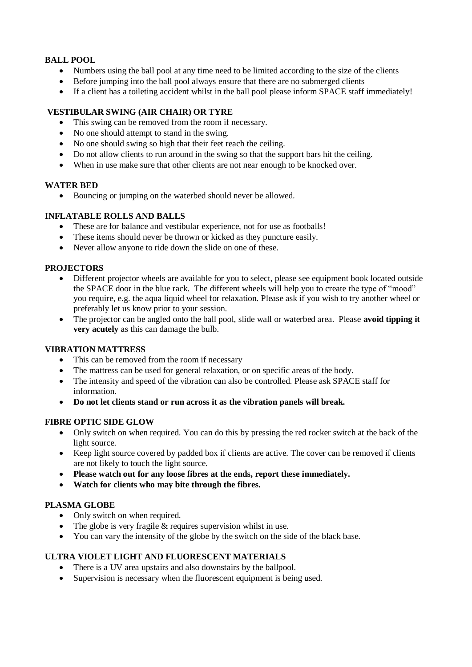# **BALL POOL**

- Numbers using the ball pool at any time need to be limited according to the size of the clients
- Before jumping into the ball pool always ensure that there are no submerged clients
- If a client has a toileting accident whilst in the ball pool please inform SPACE staff immediately!

# **VESTIBULAR SWING (AIR CHAIR) OR TYRE**

- This swing can be removed from the room if necessary.
- No one should attempt to stand in the swing.
- No one should swing so high that their feet reach the ceiling.
- Do not allow clients to run around in the swing so that the support bars hit the ceiling.
- When in use make sure that other clients are not near enough to be knocked over.

#### **WATER BED**

Bouncing or jumping on the waterbed should never be allowed.

# **INFLATABLE ROLLS AND BALLS**

- These are for balance and vestibular experience, not for use as footballs!
- These items should never be thrown or kicked as they puncture easily.
- Never allow anyone to ride down the slide on one of these.

# **PROJECTORS**

- Different projector wheels are available for you to select, please see equipment book located outside the SPACE door in the blue rack. The different wheels will help you to create the type of "mood" you require, e.g. the aqua liquid wheel for relaxation. Please ask if you wish to try another wheel or preferably let us know prior to your session.
- The projector can be angled onto the ball pool, slide wall or waterbed area. Please **avoid tipping it very acutely** as this can damage the bulb.

#### **VIBRATION MATTRESS**

- This can be removed from the room if necessary
- The mattress can be used for general relaxation, or on specific areas of the body.
- The intensity and speed of the vibration can also be controlled. Please ask SPACE staff for information.
- **Do not let clients stand or run across it as the vibration panels will break.**

#### **FIBRE OPTIC SIDE GLOW**

- Only switch on when required. You can do this by pressing the red rocker switch at the back of the light source.
- Keep light source covered by padded box if clients are active. The cover can be removed if clients are not likely to touch the light source.
- **Please watch out for any loose fibres at the ends, report these immediately.**
- **Watch for clients who may bite through the fibres.**

#### **PLASMA GLOBE**

- Only switch on when required.
- The globe is very fragile  $&$  requires supervision whilst in use.
- You can vary the intensity of the globe by the switch on the side of the black base.

# **ULTRA VIOLET LIGHT AND FLUORESCENT MATERIALS**

- There is a UV area upstairs and also downstairs by the ballpool.
- Supervision is necessary when the fluorescent equipment is being used.